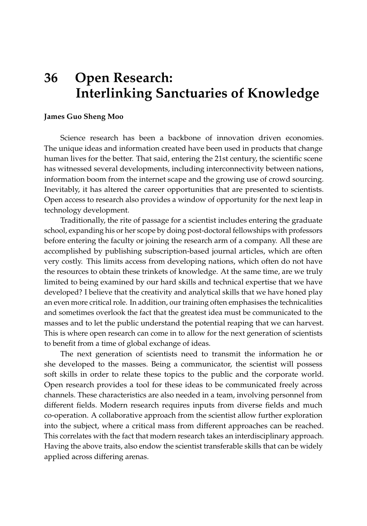## **36 Open Research: Interlinking Sanctuaries of Knowledge**

## **James Guo Sheng Moo**

Science research has been a backbone of innovation driven economies. The unique ideas and information created have been used in products that change human lives for the better. That said, entering the 21st century, the scientific scene has witnessed several developments, including interconnectivity between nations, information boom from the internet scape and the growing use of crowd sourcing. Inevitably, it has altered the career opportunities that are presented to scientists. Open access to research also provides a window of opportunity for the next leap in technology development.

Traditionally, the rite of passage for a scientist includes entering the graduate school, expanding his or her scope by doing post-doctoral fellowships with professors before entering the faculty or joining the research arm of a company. All these are accomplished by publishing subscription-based journal articles, which are often very costly. This limits access from developing nations, which often do not have the resources to obtain these trinkets of knowledge. At the same time, are we truly limited to being examined by our hard skills and technical expertise that we have developed? I believe that the creativity and analytical skills that we have honed play an even more critical role. In addition, our training often emphasises the technicalities and sometimes overlook the fact that the greatest idea must be communicated to the masses and to let the public understand the potential reaping that we can harvest. This is where open research can come in to allow for the next generation of scientists to benefit from a time of global exchange of ideas.

The next generation of scientists need to transmit the information he or she developed to the masses. Being a communicator, the scientist will possess soft skills in order to relate these topics to the public and the corporate world. Open research provides a tool for these ideas to be communicated freely across channels. These characteristics are also needed in a team, involving personnel from different fields. Modern research requires inputs from diverse fields and much co-operation. A collaborative approach from the scientist allow further exploration into the subject, where a critical mass from different approaches can be reached. This correlates with the fact that modern research takes an interdisciplinary approach. Having the above traits, also endow the scientist transferable skills that can be widely applied across differing arenas.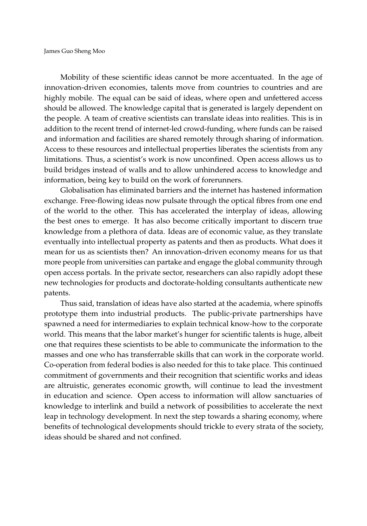Mobility of these scientific ideas cannot be more accentuated. In the age of innovation-driven economies, talents move from countries to countries and are highly mobile. The equal can be said of ideas, where open and unfettered access should be allowed. The knowledge capital that is generated is largely dependent on the people. A team of creative scientists can translate ideas into realities. This is in addition to the recent trend of internet-led crowd-funding, where funds can be raised and information and facilities are shared remotely through sharing of information. Access to these resources and intellectual properties liberates the scientists from any limitations. Thus, a scientist's work is now unconfined. Open access allows us to build bridges instead of walls and to allow unhindered access to knowledge and information, being key to build on the work of forerunners.

Globalisation has eliminated barriers and the internet has hastened information exchange. Free-flowing ideas now pulsate through the optical fibres from one end of the world to the other. This has accelerated the interplay of ideas, allowing the best ones to emerge. It has also become critically important to discern true knowledge from a plethora of data. Ideas are of economic value, as they translate eventually into intellectual property as patents and then as products. What does it mean for us as scientists then? An innovation-driven economy means for us that more people from universities can partake and engage the global community through open access portals. In the private sector, researchers can also rapidly adopt these new technologies for products and doctorate-holding consultants authenticate new patents.

Thus said, translation of ideas have also started at the academia, where spinoffs prototype them into industrial products. The public-private partnerships have spawned a need for intermediaries to explain technical know-how to the corporate world. This means that the labor market's hunger for scientific talents is huge, albeit one that requires these scientists to be able to communicate the information to the masses and one who has transferrable skills that can work in the corporate world. Co-operation from federal bodies is also needed for this to take place. This continued commitment of governments and their recognition that scientific works and ideas are altruistic, generates economic growth, will continue to lead the investment in education and science. Open access to information will allow sanctuaries of knowledge to interlink and build a network of possibilities to accelerate the next leap in technology development. In next the step towards a sharing economy, where benefits of technological developments should trickle to every strata of the society, ideas should be shared and not confined.